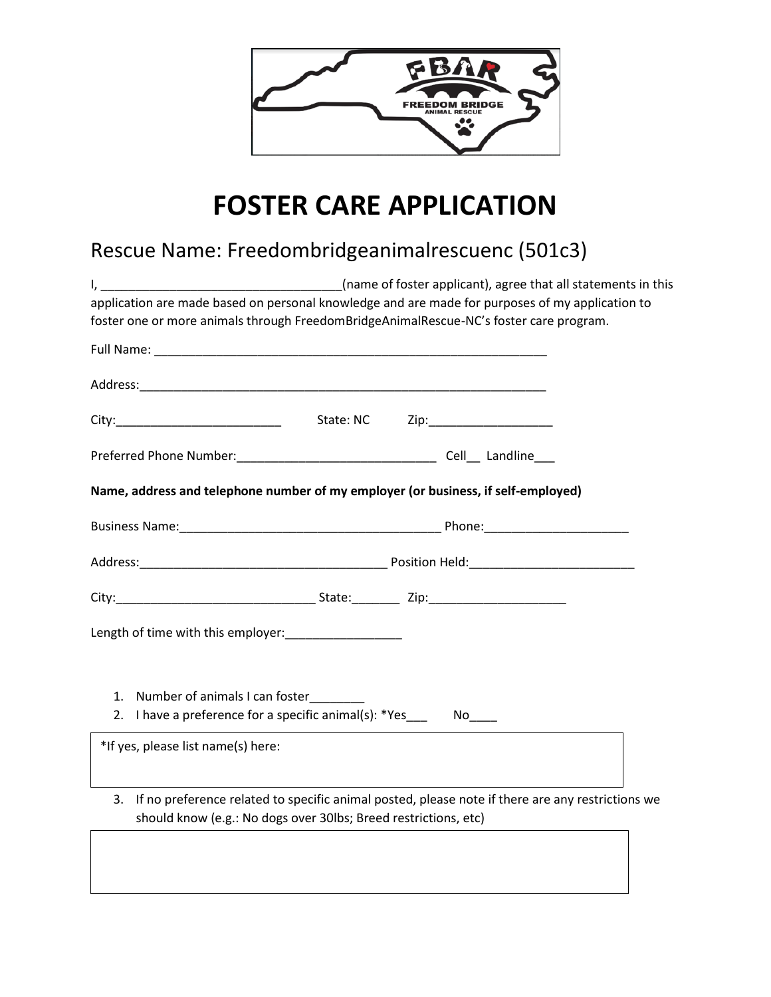

## **FOSTER CARE APPLICATION**

## Rescue Name: Freedombridgeanimalrescuenc (501c3)

| $\mathsf{I}$ , and the set of $\mathsf{I}$ | (name of foster applicant), agree that all statements in this                                                                                                                             |  |
|--------------------------------------------|-------------------------------------------------------------------------------------------------------------------------------------------------------------------------------------------|--|
|                                            | application are made based on personal knowledge and are made for purposes of my application to<br>foster one or more animals through FreedomBridgeAnimalRescue-NC's foster care program. |  |
|                                            | Full Name: The Commission of the Commission of the Commission of the Commission of the Commission of the Commission                                                                       |  |
|                                            |                                                                                                                                                                                           |  |
|                                            |                                                                                                                                                                                           |  |
|                                            |                                                                                                                                                                                           |  |
|                                            | Name, address and telephone number of my employer (or business, if self-employed)                                                                                                         |  |
|                                            |                                                                                                                                                                                           |  |
|                                            |                                                                                                                                                                                           |  |
|                                            |                                                                                                                                                                                           |  |
|                                            |                                                                                                                                                                                           |  |
|                                            |                                                                                                                                                                                           |  |
|                                            | 1. Number of animals I can foster<br>2. I have a preference for a specific animal(s): *Yes_                                                                                               |  |
|                                            |                                                                                                                                                                                           |  |
| *If yes, please list name(s) here:         |                                                                                                                                                                                           |  |
| 3.                                         | If no preference related to specific animal posted, please note if there are any restrictions we<br>should know (e.g.: No dogs over 30lbs; Breed restrictions, etc)                       |  |
|                                            |                                                                                                                                                                                           |  |
|                                            |                                                                                                                                                                                           |  |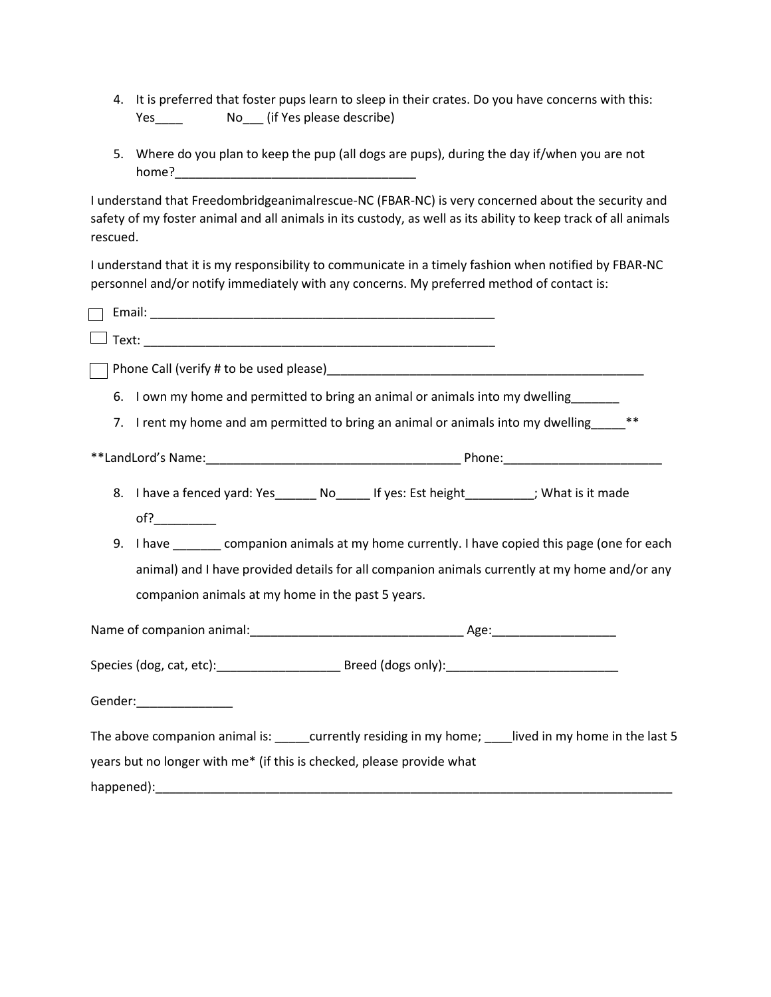- 4. It is preferred that foster pups learn to sleep in their crates. Do you have concerns with this: Yes\_\_\_\_\_ No\_\_\_ (if Yes please describe)
- 5. Where do you plan to keep the pup (all dogs are pups), during the day if/when you are not home?

I understand that Freedombridgeanimalrescue-NC (FBAR-NC) is very concerned about the security and safety of my foster animal and all animals in its custody, as well as its ability to keep track of all animals rescued.

I understand that it is my responsibility to communicate in a timely fashion when notified by FBAR-NC personnel and/or notify immediately with any concerns. My preferred method of contact is:

| 6. I own my home and permitted to bring an animal or animals into my dwelling______                                                                                                                                            |  |
|--------------------------------------------------------------------------------------------------------------------------------------------------------------------------------------------------------------------------------|--|
| 7. I rent my home and am permitted to bring an animal or animals into my dwelling **                                                                                                                                           |  |
|                                                                                                                                                                                                                                |  |
| I have a fenced yard: Yes________ No______ If yes: Est height___________; What is it made<br>8.                                                                                                                                |  |
| 9. I have _______ companion animals at my home currently. I have copied this page (one for each                                                                                                                                |  |
|                                                                                                                                                                                                                                |  |
| animal) and I have provided details for all companion animals currently at my home and/or any                                                                                                                                  |  |
| companion animals at my home in the past 5 years.                                                                                                                                                                              |  |
|                                                                                                                                                                                                                                |  |
|                                                                                                                                                                                                                                |  |
| Gender: Samuel Contract of the Second Second Second Second Second Second Second Second Second Second Second Second Second Second Second Second Second Second Second Second Second Second Second Second Second Second Second Se |  |
| The above companion animal is: _____currently residing in my home; ____lived in my home in the last 5                                                                                                                          |  |
| years but no longer with me* (if this is checked, please provide what                                                                                                                                                          |  |
|                                                                                                                                                                                                                                |  |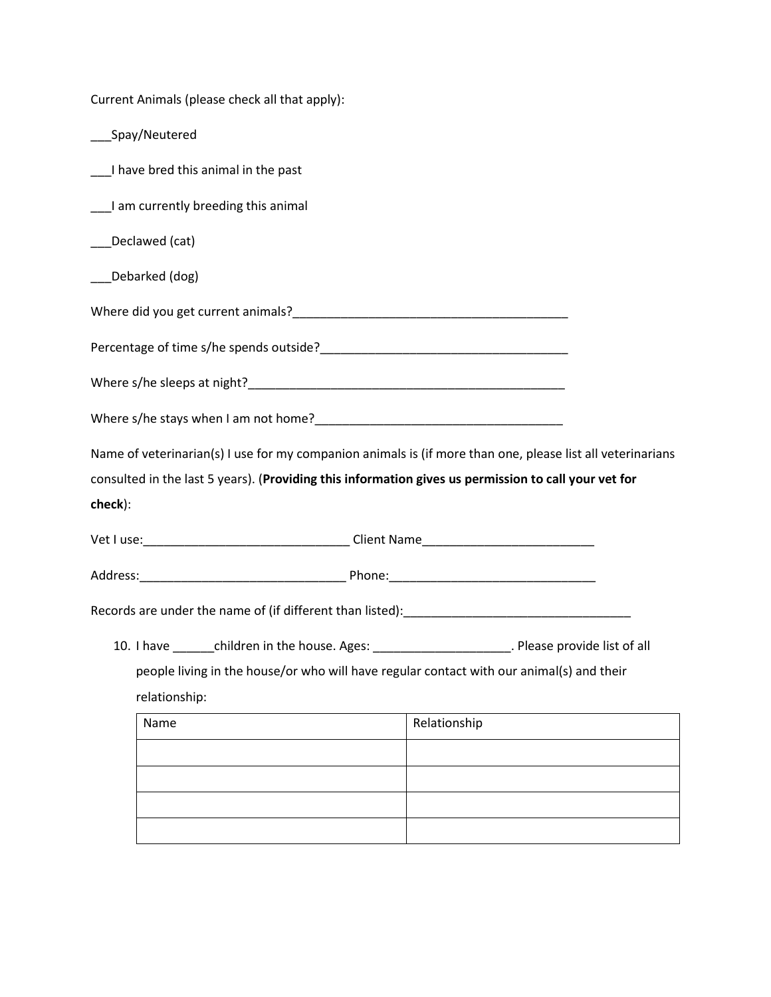| Current Animals (please check all that apply):                                                             |                                                                           |
|------------------------------------------------------------------------------------------------------------|---------------------------------------------------------------------------|
| ___Spay/Neutered                                                                                           |                                                                           |
| ___I have bred this animal in the past                                                                     |                                                                           |
| ___I am currently breeding this animal                                                                     |                                                                           |
| __Declawed (cat)                                                                                           |                                                                           |
| __Debarked (dog)                                                                                           |                                                                           |
|                                                                                                            |                                                                           |
|                                                                                                            |                                                                           |
|                                                                                                            |                                                                           |
|                                                                                                            |                                                                           |
| Name of veterinarian(s) I use for my companion animals is (if more than one, please list all veterinarians |                                                                           |
| consulted in the last 5 years). (Providing this information gives us permission to call your vet for       |                                                                           |
| check):                                                                                                    |                                                                           |
|                                                                                                            |                                                                           |
|                                                                                                            |                                                                           |
| Records are under the name of (if different than listed): <b>All and Strategies</b> Records are under the  |                                                                           |
| 10. I have ________ children in the house. Ages:                                                           | Later provide list of all process and contract of all provide list of all |
| people living in the house/or who will have regular contact with our animal(s) and their                   |                                                                           |
| relationship:                                                                                              |                                                                           |
| Name                                                                                                       | Relationship                                                              |
|                                                                                                            |                                                                           |
|                                                                                                            |                                                                           |
|                                                                                                            |                                                                           |
|                                                                                                            |                                                                           |